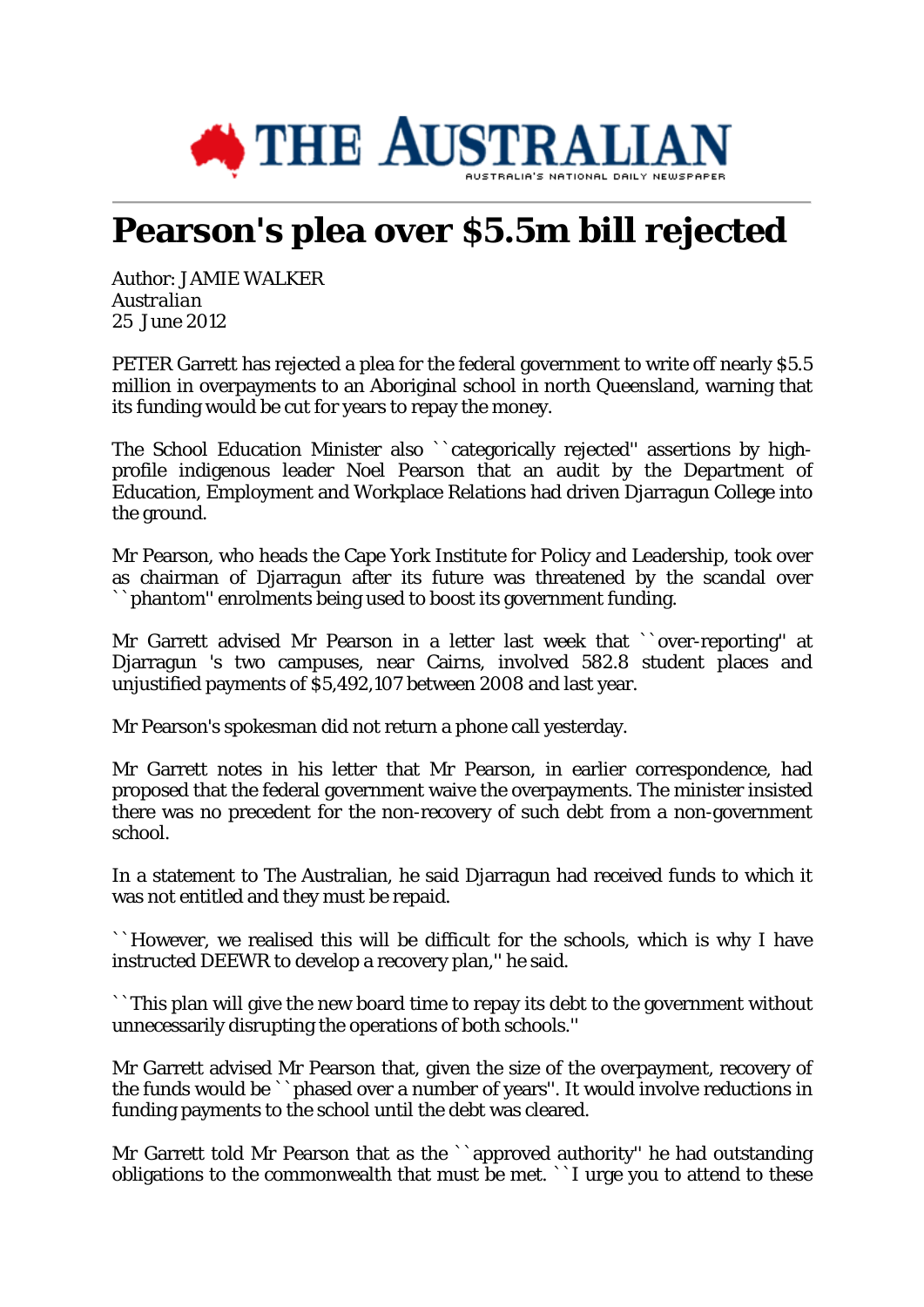

## **Pearson's plea over \$5.5m bill rejected**

Author: JAMIE WALKER *Australian* 25 June 2012

PETER Garrett has rejected a plea for the federal government to write off nearly \$5.5 million in overpayments to an Aboriginal school in north Queensland, warning that its funding would be cut for years to repay the money.

The School Education Minister also ``categorically rejected'' assertions by highprofile indigenous leader Noel Pearson that an audit by the Department of Education, Employment and Workplace Relations had driven Djarragun College into the ground.

Mr Pearson, who heads the Cape York Institute for Policy and Leadership, took over as chairman of Djarragun after its future was threatened by the scandal over ``phantom'' enrolments being used to boost its government funding.

Mr Garrett advised Mr Pearson in a letter last week that ``over-reporting'' at Djarragun 's two campuses, near Cairns, involved 582.8 student places and unjustified payments of \$5,492,107 between 2008 and last year.

Mr Pearson's spokesman did not return a phone call yesterday.

Mr Garrett notes in his letter that Mr Pearson, in earlier correspondence, had proposed that the federal government waive the overpayments. The minister insisted there was no precedent for the non-recovery of such debt from a non-government school.

In a statement to The Australian, he said Djarragun had received funds to which it was not entitled and they must be repaid.

``However, we realised this will be difficult for the schools, which is why I have instructed DEEWR to develop a recovery plan,'' he said.

``This plan will give the new board time to repay its debt to the government without unnecessarily disrupting the operations of both schools.''

Mr Garrett advised Mr Pearson that, given the size of the overpayment, recovery of the funds would be ``phased over a number of years''. It would involve reductions in funding payments to the school until the debt was cleared.

Mr Garrett told Mr Pearson that as the ``approved authority'' he had outstanding obligations to the commonwealth that must be met. ``I urge you to attend to these